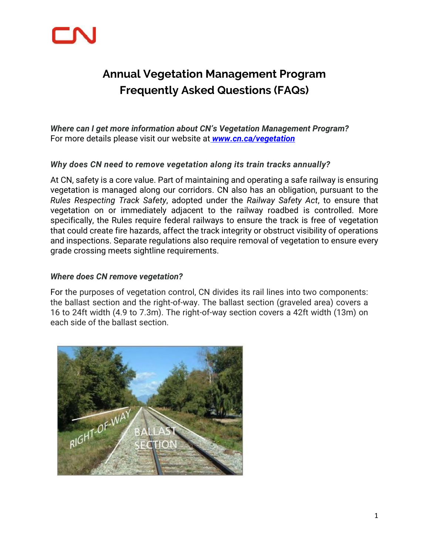

# **Annual Vegetation Management Program Frequently Asked Questions (FAQs)**

*Where can I get more information about CN's Vegetation Management Program?*  For more details please visit our website at *[www.cn.ca/vegetation](http://www.cn.ca/vegetation)*

#### *Why does CN need to remove vegetation along its train tracks annually?*

At CN, safety is a core value. Part of maintaining and operating a safe railway is ensuring vegetation is managed along our corridors. CN also has an obligation, pursuant to the *Rules Respecting Track Safety*, adopted under the *Railway Safety Act*, to ensure that vegetation on or immediately adjacent to the railway roadbed is controlled. More specifically, the Rules require federal railways to ensure the track is free of vegetation that could create fire hazards, affect the track integrity or obstruct visibility of operations and inspections. Separate regulations also require removal of vegetation to ensure every grade crossing meets sightline requirements.

#### *Where does CN remove vegetation?*

For the purposes of vegetation control, CN divides its rail lines into two components: the ballast section and the right-of-way. The ballast section (graveled area) covers a 16 to 24ft width (4.9 to 7.3m). The right-of-way section covers a 42ft width (13m) on each side of the ballast section.

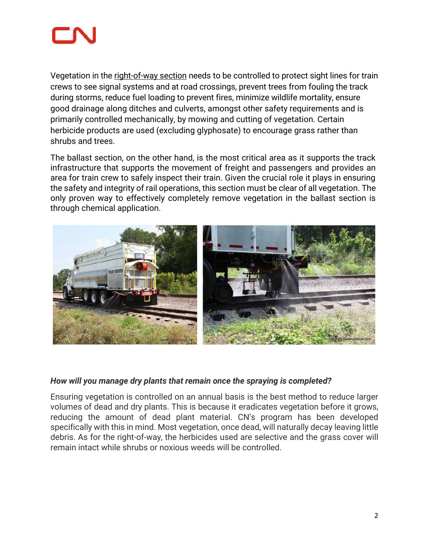

Vegetation in the right-of-way section needs to be controlled to protect sight lines for train crews to see signal systems and at road crossings, prevent trees from fouling the track during storms, reduce fuel loading to prevent fires, minimize wildlife mortality, ensure good drainage along ditches and culverts, amongst other safety requirements and is primarily controlled mechanically, by mowing and cutting of vegetation. Certain herbicide products are used (excluding glyphosate) to encourage grass rather than shrubs and trees.

The ballast section, on the other hand, is the most critical area as it supports the track infrastructure that supports the movement of freight and passengers and provides an area for train crew to safely inspect their train. Given the crucial role it plays in ensuring the safety and integrity of rail operations, this section must be clear of all vegetation. The only proven way to effectively completely remove vegetation in the ballast section is through chemical application.



#### *How will you manage dry plants that remain once the spraying is completed?*

Ensuring vegetation is controlled on an annual basis is the best method to reduce larger volumes of dead and dry plants. This is because it eradicates vegetation before it grows, reducing the amount of dead plant material. CN's program has been developed specifically with this in mind. Most vegetation, once dead, will naturally decay leaving little debris. As for the right-of-way, the herbicides used are selective and the grass cover will remain intact while shrubs or noxious weeds will be controlled.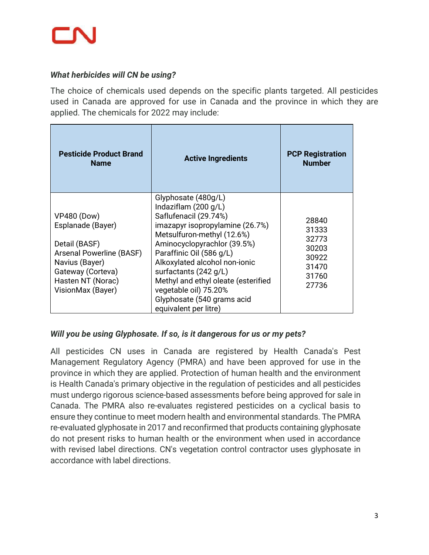

#### *What herbicides will CN be using?*

The choice of chemicals used depends on the specific plants targeted. All pesticides used in Canada are approved for use in Canada and the province in which they are applied. The chemicals for 2022 may include:

| <b>Pesticide Product Brand</b><br><b>Name</b>                                                                                                                         | <b>Active Ingredients</b>                                                                                                                                                                                                                                                                                                                                                           | <b>PCP Registration</b><br><b>Number</b>                             |
|-----------------------------------------------------------------------------------------------------------------------------------------------------------------------|-------------------------------------------------------------------------------------------------------------------------------------------------------------------------------------------------------------------------------------------------------------------------------------------------------------------------------------------------------------------------------------|----------------------------------------------------------------------|
| <b>VP480 (Dow)</b><br>Esplanade (Bayer)<br>Detail (BASF)<br>Arsenal Powerline (BASF)<br>Navius (Bayer)<br>Gateway (Corteva)<br>Hasten NT (Norac)<br>VisionMax (Bayer) | Glyphosate (480g/L)<br>Indaziflam $(200 g/L)$<br>Saflufenacil (29.74%)<br>imazapyr isopropylamine (26.7%)<br>Metsulfuron-methyl (12.6%)<br>Aminocyclopyrachlor (39.5%)<br>Paraffinic Oil (586 g/L)<br>Alkoxylated alcohol non-ionic<br>surfactants (242 g/L)<br>Methyl and ethyl oleate (esterified<br>vegetable oil) 75.20%<br>Glyphosate (540 grams acid<br>equivalent per litre) | 28840<br>31333<br>32773<br>30203<br>30922<br>31470<br>31760<br>27736 |

## *Will you be using Glyphosate. If so, is it dangerous for us or my pets?*

All pesticides CN uses in Canada are registered by Health Canada's Pest Management Regulatory Agency (PMRA) and have been approved for use in the province in which they are applied. Protection of human health and the environment is Health Canada's primary objective in the regulation of pesticides and all pesticides must undergo rigorous science-based assessments before being approved for sale in Canada. The PMRA also re-evaluates registered pesticides on a cyclical basis to ensure they continue to meet modern health and environmental standards. The PMRA re-evaluated glyphosate in 2017 and reconfirmed that products containing glyphosate do not present risks to human health or the environment when used in accordance with revised label directions. CN's vegetation control contractor uses glyphosate in accordance with label directions.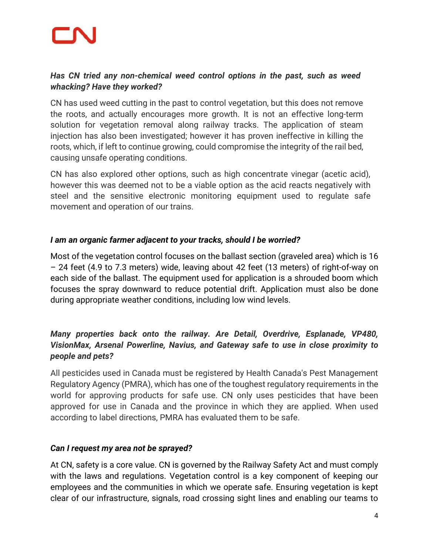## *Has CN tried any non-chemical weed control options in the past, such as weed whacking? Have they worked?*

CN has used weed cutting in the past to control vegetation, but this does not remove the roots, and actually encourages more growth. It is not an effective long-term solution for vegetation removal along railway tracks. The application of steam injection has also been investigated; however it has proven ineffective in killing the roots, which, if left to continue growing, could compromise the integrity of the rail bed, causing unsafe operating conditions.

CN has also explored other options, such as high concentrate vinegar (acetic acid), however this was deemed not to be a viable option as the acid reacts negatively with steel and the sensitive electronic monitoring equipment used to regulate safe movement and operation of our trains.

## *I am an organic farmer adjacent to your tracks, should I be worried?*

Most of the vegetation control focuses on the ballast section (graveled area) which is 16 – 24 feet (4.9 to 7.3 meters) wide, leaving about 42 feet (13 meters) of right-of-way on each side of the ballast. The equipment used for application is a shrouded boom which focuses the spray downward to reduce potential drift. Application must also be done during appropriate weather conditions, including low wind levels.

## *Many properties back onto the railway. Are Detail, Overdrive, Esplanade, VP480, VisionMax, Arsenal Powerline, Navius, and Gateway safe to use in close proximity to people and pets?*

All pesticides used in Canada must be registered by Health Canada's Pest Management Regulatory Agency (PMRA), which has one of the toughest regulatory requirements in the world for approving products for safe use. CN only uses pesticides that have been approved for use in Canada and the province in which they are applied. When used according to label directions, PMRA has evaluated them to be safe.

## *Can I request my area not be sprayed?*

At CN, safety is a core value. CN is governed by the Railway Safety Act and must comply with the laws and regulations. Vegetation control is a key component of keeping our employees and the communities in which we operate safe. Ensuring vegetation is kept clear of our infrastructure, signals, road crossing sight lines and enabling our teams to